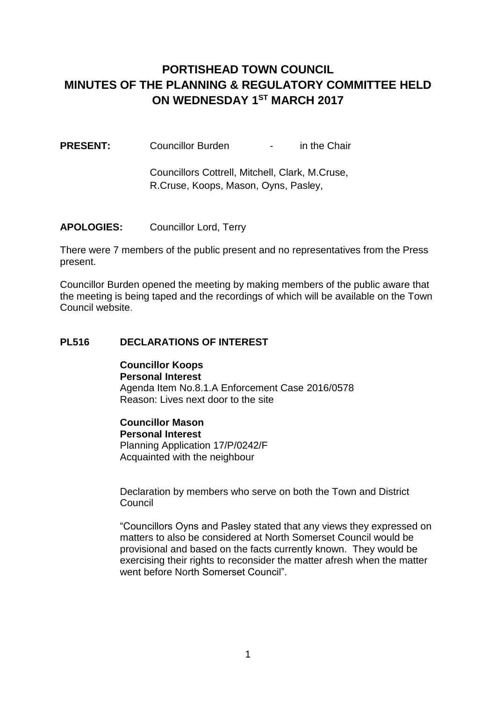# **PORTISHEAD TOWN COUNCIL MINUTES OF THE PLANNING & REGULATORY COMMITTEE HELD ON WEDNESDAY 1ST MARCH 2017**

**PRESENT:** Councillor Burden - in the Chair

Councillors Cottrell, Mitchell, Clark, M.Cruse, R.Cruse, Koops, Mason, Oyns, Pasley,

**APOLOGIES:** Councillor Lord, Terry

There were 7 members of the public present and no representatives from the Press present.

Councillor Burden opened the meeting by making members of the public aware that the meeting is being taped and the recordings of which will be available on the Town Council website.

### **PL516 DECLARATIONS OF INTEREST**

**Councillor Koops Personal Interest** Agenda Item No.8.1.A Enforcement Case 2016/0578 Reason: Lives next door to the site

**Councillor Mason Personal Interest** Planning Application 17/P/0242/F Acquainted with the neighbour

Declaration by members who serve on both the Town and District Council

"Councillors Oyns and Pasley stated that any views they expressed on matters to also be considered at North Somerset Council would be provisional and based on the facts currently known. They would be exercising their rights to reconsider the matter afresh when the matter went before North Somerset Council"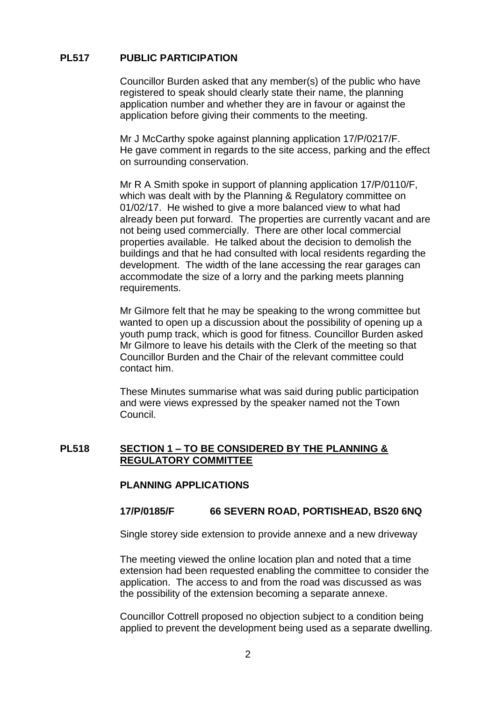### **PL517 PUBLIC PARTICIPATION**

Councillor Burden asked that any member(s) of the public who have registered to speak should clearly state their name, the planning application number and whether they are in favour or against the application before giving their comments to the meeting.

Mr J McCarthy spoke against planning application 17/P/0217/F. He gave comment in regards to the site access, parking and the effect on surrounding conservation.

Mr R A Smith spoke in support of planning application 17/P/0110/F, which was dealt with by the Planning & Regulatory committee on 01/02/17. He wished to give a more balanced view to what had already been put forward. The properties are currently vacant and are not being used commercially. There are other local commercial properties available. He talked about the decision to demolish the buildings and that he had consulted with local residents regarding the development. The width of the lane accessing the rear garages can accommodate the size of a lorry and the parking meets planning requirements.

Mr Gilmore felt that he may be speaking to the wrong committee but wanted to open up a discussion about the possibility of opening up a youth pump track, which is good for fitness. Councillor Burden asked Mr Gilmore to leave his details with the Clerk of the meeting so that Councillor Burden and the Chair of the relevant committee could contact him.

These Minutes summarise what was said during public participation and were views expressed by the speaker named not the Town Council.

### **PL518 SECTION 1 – TO BE CONSIDERED BY THE PLANNING & REGULATORY COMMITTEE**

### **PLANNING APPLICATIONS**

### **17/P/0185/F 66 SEVERN ROAD, PORTISHEAD, BS20 6NQ**

Single storey side extension to provide annexe and a new driveway

The meeting viewed the online location plan and noted that a time extension had been requested enabling the committee to consider the application. The access to and from the road was discussed as was the possibility of the extension becoming a separate annexe.

Councillor Cottrell proposed no objection subject to a condition being applied to prevent the development being used as a separate dwelling.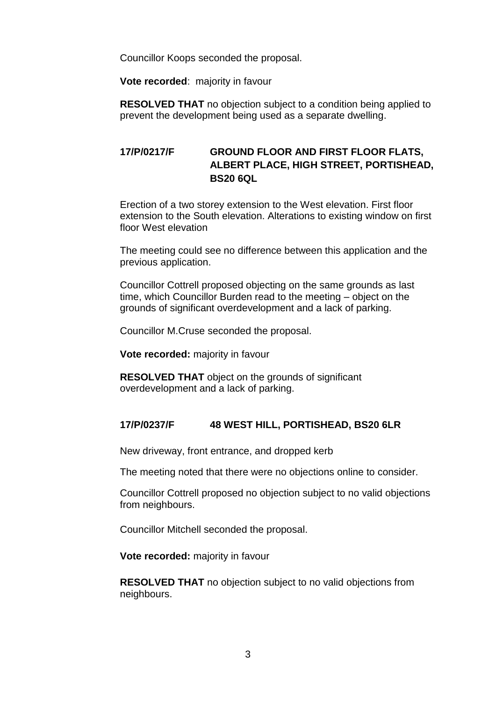Councillor Koops seconded the proposal.

**Vote recorded**: majority in favour

**RESOLVED THAT** no objection subject to a condition being applied to prevent the development being used as a separate dwelling.

### **17/P/0217/F GROUND FLOOR AND FIRST FLOOR FLATS, ALBERT PLACE, HIGH STREET, PORTISHEAD, BS20 6QL**

Erection of a two storey extension to the West elevation. First floor extension to the South elevation. Alterations to existing window on first floor West elevation

The meeting could see no difference between this application and the previous application.

Councillor Cottrell proposed objecting on the same grounds as last time, which Councillor Burden read to the meeting – object on the grounds of significant overdevelopment and a lack of parking.

Councillor M.Cruse seconded the proposal.

**Vote recorded:** majority in favour

**RESOLVED THAT** object on the grounds of significant overdevelopment and a lack of parking.

### **17/P/0237/F 48 WEST HILL, PORTISHEAD, BS20 6LR**

New driveway, front entrance, and dropped kerb

The meeting noted that there were no objections online to consider.

Councillor Cottrell proposed no objection subject to no valid objections from neighbours.

Councillor Mitchell seconded the proposal.

**Vote recorded:** majority in favour

**RESOLVED THAT** no objection subject to no valid objections from neighbours.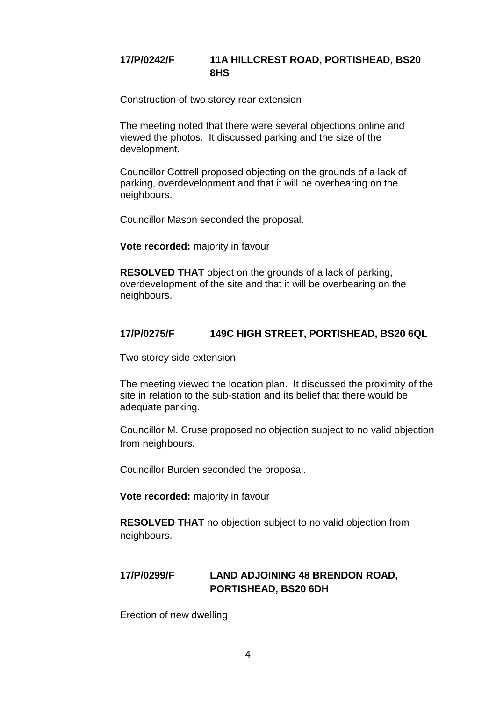# **17/P/0242/F 11A HILLCREST ROAD, PORTISHEAD, BS20 8HS**

Construction of two storey rear extension

The meeting noted that there were several objections online and viewed the photos. It discussed parking and the size of the development.

Councillor Cottrell proposed objecting on the grounds of a lack of parking, overdevelopment and that it will be overbearing on the neighbours.

Councillor Mason seconded the proposal.

**Vote recorded:** majority in favour

**RESOLVED THAT** object on the grounds of a lack of parking, overdevelopment of the site and that it will be overbearing on the neighbours.

### **17/P/0275/F 149C HIGH STREET, PORTISHEAD, BS20 6QL**

Two storey side extension

The meeting viewed the location plan. It discussed the proximity of the site in relation to the sub-station and its belief that there would be adequate parking.

Councillor M. Cruse proposed no objection subject to no valid objection from neighbours.

Councillor Burden seconded the proposal.

**Vote recorded:** majority in favour

**RESOLVED THAT** no objection subject to no valid objection from neighbours.

# **17/P/0299/F LAND ADJOINING 48 BRENDON ROAD, PORTISHEAD, BS20 6DH**

Erection of new dwelling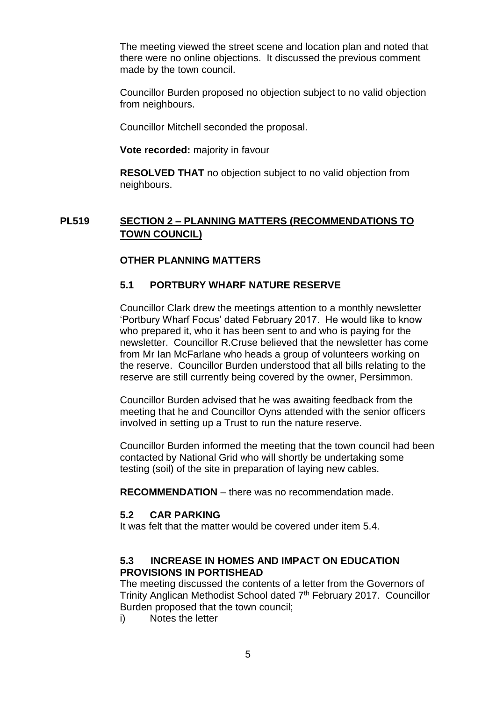The meeting viewed the street scene and location plan and noted that there were no online objections. It discussed the previous comment made by the town council.

Councillor Burden proposed no objection subject to no valid objection from neighbours.

Councillor Mitchell seconded the proposal.

**Vote recorded:** majority in favour

**RESOLVED THAT** no objection subject to no valid objection from neighbours.

### **PL519 SECTION 2 – PLANNING MATTERS (RECOMMENDATIONS TO TOWN COUNCIL)**

### **OTHER PLANNING MATTERS**

### **5.1 PORTBURY WHARF NATURE RESERVE**

Councillor Clark drew the meetings attention to a monthly newsletter 'Portbury Wharf Focus' dated February 2017. He would like to know who prepared it, who it has been sent to and who is paying for the newsletter. Councillor R.Cruse believed that the newsletter has come from Mr Ian McFarlane who heads a group of volunteers working on the reserve. Councillor Burden understood that all bills relating to the reserve are still currently being covered by the owner, Persimmon.

Councillor Burden advised that he was awaiting feedback from the meeting that he and Councillor Oyns attended with the senior officers involved in setting up a Trust to run the nature reserve.

Councillor Burden informed the meeting that the town council had been contacted by National Grid who will shortly be undertaking some testing (soil) of the site in preparation of laying new cables.

**RECOMMENDATION** – there was no recommendation made.

### **5.2 CAR PARKING**

It was felt that the matter would be covered under item 5.4.

### **5.3 INCREASE IN HOMES AND IMPACT ON EDUCATION PROVISIONS IN PORTISHEAD**

The meeting discussed the contents of a letter from the Governors of Trinity Anglican Methodist School dated 7<sup>th</sup> February 2017. Councillor Burden proposed that the town council;

i) Notes the letter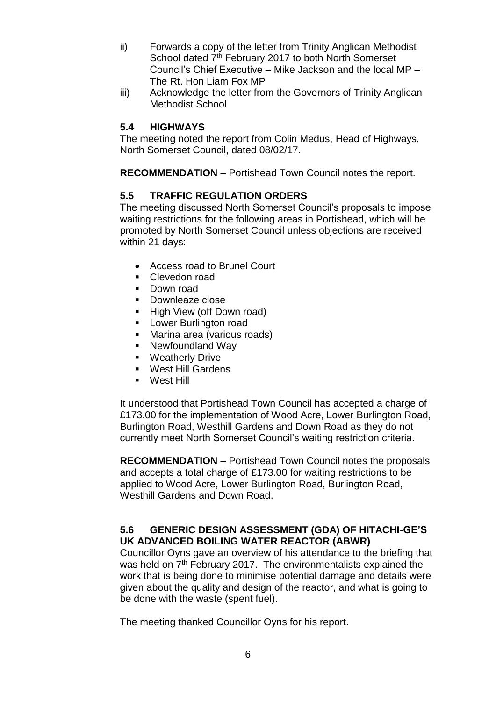- ii) Forwards a copy of the letter from Trinity Anglican Methodist School dated 7<sup>th</sup> February 2017 to both North Somerset Council's Chief Executive – Mike Jackson and the local MP – The Rt. Hon Liam Fox MP
- iii) Acknowledge the letter from the Governors of Trinity Anglican Methodist School

### **5.4 HIGHWAYS**

The meeting noted the report from Colin Medus, Head of Highways, North Somerset Council, dated 08/02/17.

**RECOMMENDATION** – Portishead Town Council notes the report.

### **5.5 TRAFFIC REGULATION ORDERS**

The meeting discussed North Somerset Council's proposals to impose waiting restrictions for the following areas in Portishead, which will be promoted by North Somerset Council unless objections are received within 21 days:

- Access road to Brunel Court
- **Clevedon road**
- Down road
- **Downleaze close**
- High View (off Down road)
- **Lower Burlington road**
- **Marina area (various roads)**
- Newfoundland Way
- **•** Weatherly Drive
- **West Hill Gardens**
- **Nest Hill**

It understood that Portishead Town Council has accepted a charge of £173.00 for the implementation of Wood Acre, Lower Burlington Road, Burlington Road, Westhill Gardens and Down Road as they do not currently meet North Somerset Council's waiting restriction criteria.

**RECOMMENDATION –** Portishead Town Council notes the proposals and accepts a total charge of £173.00 for waiting restrictions to be applied to Wood Acre, Lower Burlington Road, Burlington Road, Westhill Gardens and Down Road.

### **5.6 GENERIC DESIGN ASSESSMENT (GDA) OF HITACHI-GE'S UK ADVANCED BOILING WATER REACTOR (ABWR)**

Councillor Oyns gave an overview of his attendance to the briefing that was held on  $7<sup>th</sup>$  February 2017. The environmentalists explained the work that is being done to minimise potential damage and details were given about the quality and design of the reactor, and what is going to be done with the waste (spent fuel).

The meeting thanked Councillor Oyns for his report.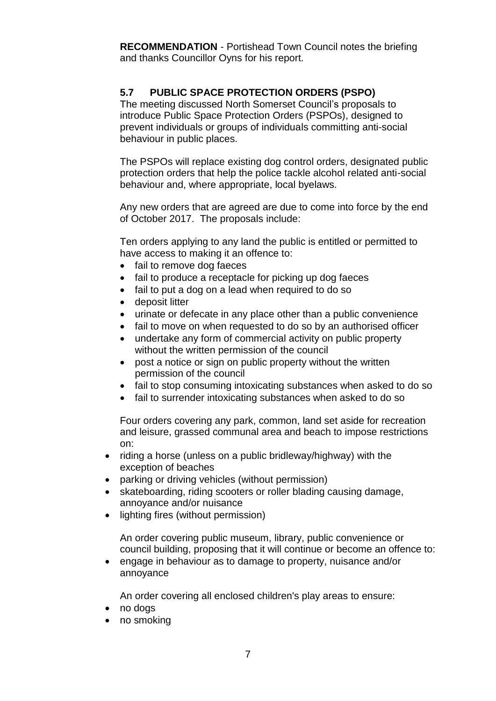**RECOMMENDATION** - Portishead Town Council notes the briefing and thanks Councillor Oyns for his report.

# **5.7 PUBLIC SPACE PROTECTION ORDERS (PSPO)**

The meeting discussed North Somerset Council's proposals to introduce Public Space Protection Orders (PSPOs), designed to prevent individuals or groups of individuals committing anti-social behaviour in public places.

The PSPOs will replace existing dog control orders, designated public protection orders that help the police tackle alcohol related anti-social behaviour and, where appropriate, local byelaws.

Any new orders that are agreed are due to come into force by the end of October 2017. The proposals include:

Ten orders applying to any land the public is entitled or permitted to have access to making it an offence to:

- fail to remove dog faeces
- fail to produce a receptacle for picking up dog faeces
- fail to put a dog on a lead when required to do so
- deposit litter
- urinate or defecate in any place other than a public convenience
- fail to move on when requested to do so by an authorised officer
- undertake any form of commercial activity on public property without the written permission of the council
- post a notice or sign on public property without the written permission of the council
- fail to stop consuming intoxicating substances when asked to do so
- fail to surrender intoxicating substances when asked to do so

Four orders covering any park, common, land set aside for recreation and leisure, grassed communal area and beach to impose restrictions on:

- riding a horse (unless on a public bridleway/highway) with the exception of beaches
- parking or driving vehicles (without permission)
- skateboarding, riding scooters or roller blading causing damage, annoyance and/or nuisance
- lighting fires (without permission)

An order covering public museum, library, public convenience or council building, proposing that it will continue or become an offence to:

 engage in behaviour as to damage to property, nuisance and/or annoyance

An order covering all enclosed children's play areas to ensure:

- no dogs
- no smoking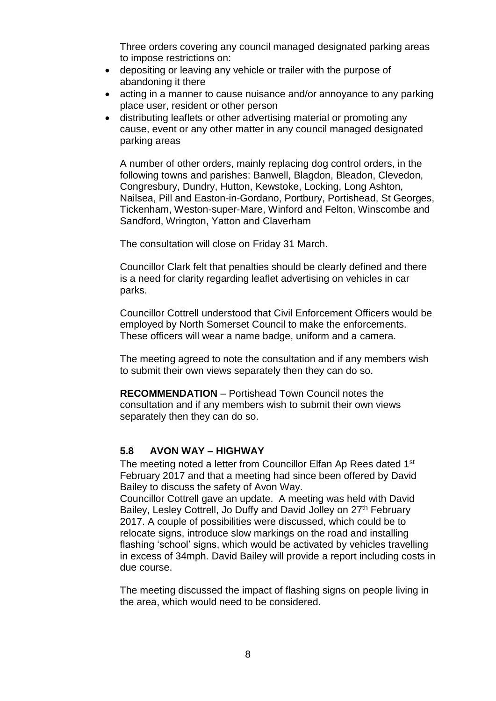Three orders covering any council managed designated parking areas to impose restrictions on:

- depositing or leaving any vehicle or trailer with the purpose of abandoning it there
- acting in a manner to cause nuisance and/or annoyance to any parking place user, resident or other person
- distributing leaflets or other advertising material or promoting any cause, event or any other matter in any council managed designated parking areas

A number of other orders, mainly replacing dog control orders, in the following towns and parishes: Banwell, Blagdon, Bleadon, Clevedon, Congresbury, Dundry, Hutton, Kewstoke, Locking, Long Ashton, Nailsea, Pill and Easton-in-Gordano, Portbury, Portishead, St Georges, Tickenham, Weston-super-Mare, Winford and Felton, Winscombe and Sandford, Wrington, Yatton and Claverham

The consultation will close on Friday 31 March.

Councillor Clark felt that penalties should be clearly defined and there is a need for clarity regarding leaflet advertising on vehicles in car parks.

Councillor Cottrell understood that Civil Enforcement Officers would be employed by North Somerset Council to make the enforcements. These officers will wear a name badge, uniform and a camera.

The meeting agreed to note the consultation and if any members wish to submit their own views separately then they can do so.

**RECOMMENDATION** – Portishead Town Council notes the consultation and if any members wish to submit their own views separately then they can do so.

### **5.8 AVON WAY – HIGHWAY**

The meeting noted a letter from Councillor Elfan Ap Rees dated 1<sup>st</sup> February 2017 and that a meeting had since been offered by David Bailey to discuss the safety of Avon Way.

Councillor Cottrell gave an update. A meeting was held with David Bailey, Lesley Cottrell, Jo Duffy and David Jolley on 27<sup>th</sup> February 2017. A couple of possibilities were discussed, which could be to relocate signs, introduce slow markings on the road and installing flashing 'school' signs, which would be activated by vehicles travelling in excess of 34mph. David Bailey will provide a report including costs in due course.

The meeting discussed the impact of flashing signs on people living in the area, which would need to be considered.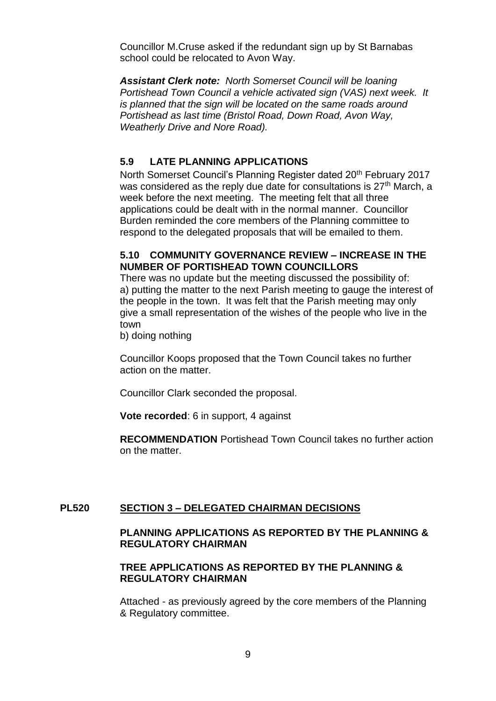Councillor M.Cruse asked if the redundant sign up by St Barnabas school could be relocated to Avon Way.

*Assistant Clerk note: North Somerset Council will be loaning Portishead Town Council a vehicle activated sign (VAS) next week. It is planned that the sign will be located on the same roads around Portishead as last time (Bristol Road, Down Road, Avon Way, Weatherly Drive and Nore Road).*

### **5.9 LATE PLANNING APPLICATIONS**

North Somerset Council's Planning Register dated 20<sup>th</sup> February 2017 was considered as the reply due date for consultations is  $27<sup>th</sup>$  March, a week before the next meeting. The meeting felt that all three applications could be dealt with in the normal manner. Councillor Burden reminded the core members of the Planning committee to respond to the delegated proposals that will be emailed to them.

### **5.10 COMMUNITY GOVERNANCE REVIEW – INCREASE IN THE NUMBER OF PORTISHEAD TOWN COUNCILLORS**

There was no update but the meeting discussed the possibility of: a) putting the matter to the next Parish meeting to gauge the interest of the people in the town. It was felt that the Parish meeting may only give a small representation of the wishes of the people who live in the town

b) doing nothing

Councillor Koops proposed that the Town Council takes no further action on the matter.

Councillor Clark seconded the proposal.

**Vote recorded**: 6 in support, 4 against

**RECOMMENDATION** Portishead Town Council takes no further action on the matter.

### **PL520 SECTION 3 – DELEGATED CHAIRMAN DECISIONS**

### **PLANNING APPLICATIONS AS REPORTED BY THE PLANNING & REGULATORY CHAIRMAN**

### **TREE APPLICATIONS AS REPORTED BY THE PLANNING & REGULATORY CHAIRMAN**

Attached - as previously agreed by the core members of the Planning & Regulatory committee.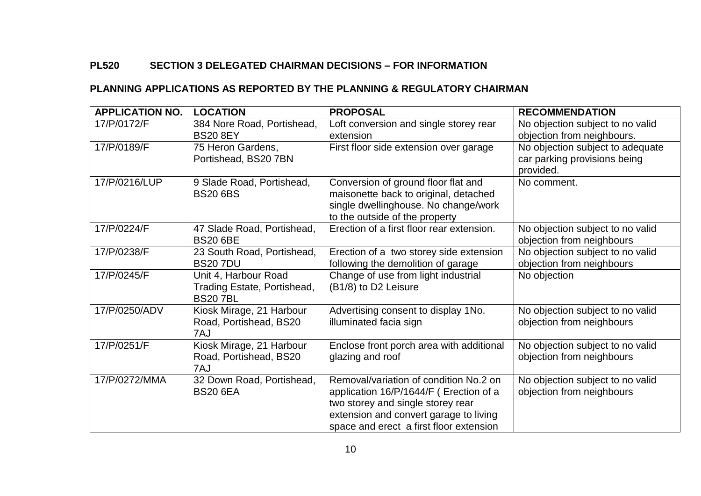# **PL520 SECTION 3 DELEGATED CHAIRMAN DECISIONS – FOR INFORMATION**

### **PLANNING APPLICATIONS AS REPORTED BY THE PLANNING & REGULATORY CHAIRMAN**

| <b>APPLICATION NO.</b> | <b>LOCATION</b>                                                       | <b>PROPOSAL</b>                                                                                                                                                                                            | <b>RECOMMENDATION</b>                                                         |
|------------------------|-----------------------------------------------------------------------|------------------------------------------------------------------------------------------------------------------------------------------------------------------------------------------------------------|-------------------------------------------------------------------------------|
| 17/P/0172/F            | 384 Nore Road, Portishead,<br><b>BS20 8EY</b>                         | Loft conversion and single storey rear<br>extension                                                                                                                                                        | No objection subject to no valid<br>objection from neighbours.                |
| 17/P/0189/F            | 75 Heron Gardens,<br>Portishead, BS20 7BN                             | First floor side extension over garage                                                                                                                                                                     | No objection subject to adequate<br>car parking provisions being<br>provided. |
| 17/P/0216/LUP          | 9 Slade Road, Portishead,<br><b>BS20 6BS</b>                          | Conversion of ground floor flat and<br>maisonette back to original, detached<br>single dwellinghouse. No change/work<br>to the outside of the property                                                     | No comment.                                                                   |
| 17/P/0224/F            | 47 Slade Road, Portishead,<br><b>BS20 6BE</b>                         | Erection of a first floor rear extension.                                                                                                                                                                  | No objection subject to no valid<br>objection from neighbours                 |
| 17/P/0238/F            | 23 South Road, Portishead,<br><b>BS207DU</b>                          | Erection of a two storey side extension<br>following the demolition of garage                                                                                                                              | No objection subject to no valid<br>objection from neighbours                 |
| 17/P/0245/F            | Unit 4, Harbour Road<br>Trading Estate, Portishead,<br><b>BS207BL</b> | Change of use from light industrial<br>(B1/8) to D2 Leisure                                                                                                                                                | No objection                                                                  |
| 17/P/0250/ADV          | Kiosk Mirage, 21 Harbour<br>Road, Portishead, BS20<br>7AJ             | Advertising consent to display 1No.<br>illuminated facia sign                                                                                                                                              | No objection subject to no valid<br>objection from neighbours                 |
| 17/P/0251/F            | Kiosk Mirage, 21 Harbour<br>Road, Portishead, BS20<br>7AJ             | Enclose front porch area with additional<br>glazing and roof                                                                                                                                               | No objection subject to no valid<br>objection from neighbours                 |
| 17/P/0272/MMA          | 32 Down Road, Portishead,<br><b>BS20 6EA</b>                          | Removal/variation of condition No.2 on<br>application 16/P/1644/F (Erection of a<br>two storey and single storey rear<br>extension and convert garage to living<br>space and erect a first floor extension | No objection subject to no valid<br>objection from neighbours                 |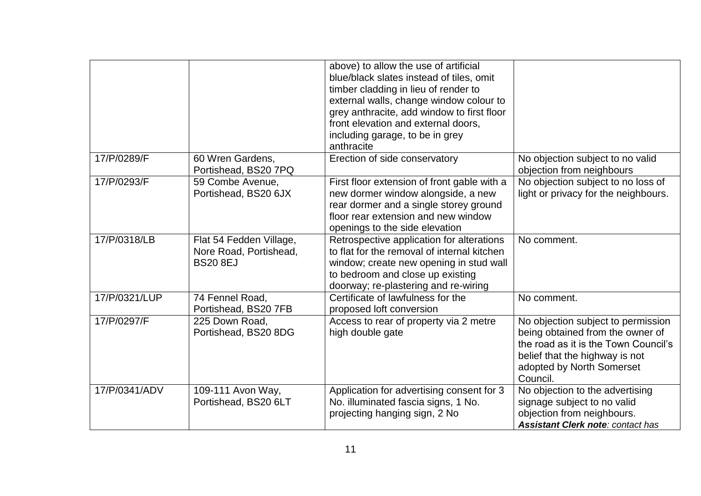|               |                                                                      | above) to allow the use of artificial<br>blue/black slates instead of tiles, omit<br>timber cladding in lieu of render to<br>external walls, change window colour to<br>grey anthracite, add window to first floor<br>front elevation and external doors,<br>including garage, to be in grey<br>anthracite |                                                                                                                                                                                           |
|---------------|----------------------------------------------------------------------|------------------------------------------------------------------------------------------------------------------------------------------------------------------------------------------------------------------------------------------------------------------------------------------------------------|-------------------------------------------------------------------------------------------------------------------------------------------------------------------------------------------|
| 17/P/0289/F   | 60 Wren Gardens,<br>Portishead, BS20 7PQ                             | Erection of side conservatory                                                                                                                                                                                                                                                                              | No objection subject to no valid<br>objection from neighbours                                                                                                                             |
| 17/P/0293/F   | 59 Combe Avenue,<br>Portishead, BS20 6JX                             | First floor extension of front gable with a<br>new dormer window alongside, a new<br>rear dormer and a single storey ground<br>floor rear extension and new window<br>openings to the side elevation                                                                                                       | No objection subject to no loss of<br>light or privacy for the neighbours.                                                                                                                |
| 17/P/0318/LB  | Flat 54 Fedden Village,<br>Nore Road, Portishead,<br><b>BS20 8EJ</b> | Retrospective application for alterations<br>to flat for the removal of internal kitchen<br>window; create new opening in stud wall<br>to bedroom and close up existing<br>doorway; re-plastering and re-wiring                                                                                            | No comment.                                                                                                                                                                               |
| 17/P/0321/LUP | 74 Fennel Road,<br>Portishead, BS20 7FB                              | Certificate of lawfulness for the<br>proposed loft conversion                                                                                                                                                                                                                                              | No comment.                                                                                                                                                                               |
| 17/P/0297/F   | 225 Down Road,<br>Portishead, BS20 8DG                               | Access to rear of property via 2 metre<br>high double gate                                                                                                                                                                                                                                                 | No objection subject to permission<br>being obtained from the owner of<br>the road as it is the Town Council's<br>belief that the highway is not<br>adopted by North Somerset<br>Council. |
| 17/P/0341/ADV | 109-111 Avon Way,<br>Portishead, BS20 6LT                            | Application for advertising consent for 3<br>No. illuminated fascia signs, 1 No.<br>projecting hanging sign, 2 No                                                                                                                                                                                          | No objection to the advertising<br>signage subject to no valid<br>objection from neighbours.<br><b>Assistant Clerk note: contact has</b>                                                  |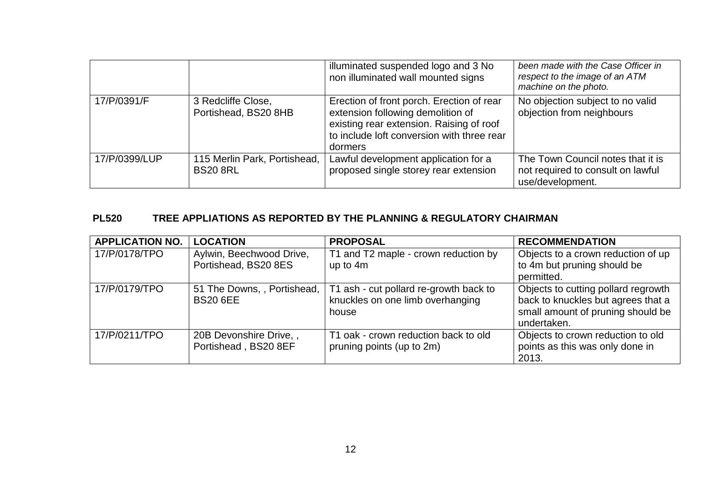|               |                                                 | illuminated suspended logo and 3 No<br>non illuminated wall mounted signs                                                                                                           | been made with the Case Officer in<br>respect to the image of an ATM<br>machine on the photo. |
|---------------|-------------------------------------------------|-------------------------------------------------------------------------------------------------------------------------------------------------------------------------------------|-----------------------------------------------------------------------------------------------|
| 17/P/0391/F   | 3 Redcliffe Close,<br>Portishead, BS20 8HB      | Erection of front porch. Erection of rear<br>extension following demolition of<br>existing rear extension. Raising of roof<br>to include loft conversion with three rear<br>dormers | No objection subject to no valid<br>objection from neighbours                                 |
| 17/P/0399/LUP | 115 Merlin Park, Portishead,<br><b>BS20 8RL</b> | Lawful development application for a<br>proposed single storey rear extension                                                                                                       | The Town Council notes that it is<br>not required to consult on lawful<br>use/development.    |

# **PL520 TREE APPLIATIONS AS REPORTED BY THE PLANNING & REGULATORY CHAIRMAN**

| <b>APPLICATION NO.</b> | <b>LOCATION</b>                                  | <b>PROPOSAL</b>                                                                     | <b>RECOMMENDATION</b>                                                                                                         |
|------------------------|--------------------------------------------------|-------------------------------------------------------------------------------------|-------------------------------------------------------------------------------------------------------------------------------|
| 17/P/0178/TPO          | Aylwin, Beechwood Drive,<br>Portishead, BS20 8ES | T1 and T2 maple - crown reduction by<br>up to 4m                                    | Objects to a crown reduction of up<br>to 4m but pruning should be<br>permitted.                                               |
| 17/P/0179/TPO          | 51 The Downs, , Portishead,<br><b>BS20 6EE</b>   | T1 ash - cut pollard re-growth back to<br>knuckles on one limb overhanging<br>house | Objects to cutting pollard regrowth<br>back to knuckles but agrees that a<br>small amount of pruning should be<br>undertaken. |
| 17/P/0211/TPO          | 20B Devonshire Drive,,<br>Portishead, BS20 8EF   | T1 oak - crown reduction back to old<br>pruning points (up to 2m)                   | Objects to crown reduction to old<br>points as this was only done in<br>2013.                                                 |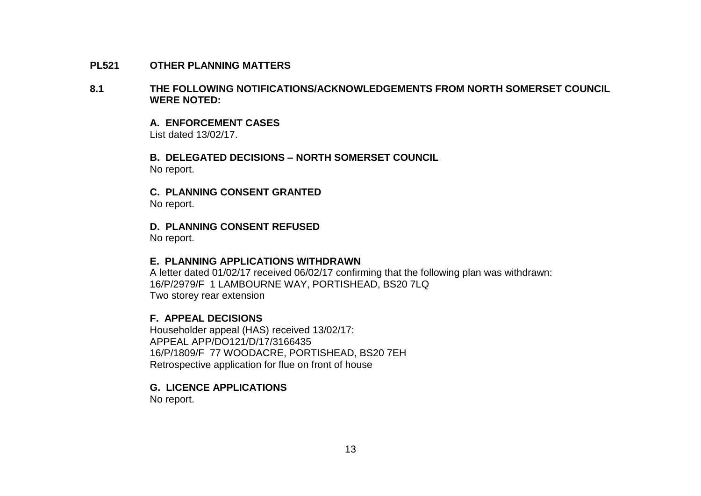#### **PL521 OTHER PLANNING MATTERS**

#### **8.1 THE FOLLOWING NOTIFICATIONS/ACKNOWLEDGEMENTS FROM NORTH SOMERSET COUNCIL WERE NOTED:**

**A. ENFORCEMENT CASES** List dated 13/02/17.

**B. DELEGATED DECISIONS – NORTH SOMERSET COUNCIL** No report.

**C. PLANNING CONSENT GRANTED** No report.

**D. PLANNING CONSENT REFUSED**

No report.

#### **E. PLANNING APPLICATIONS WITHDRAWN**

A letter dated 01/02/17 received 06/02/17 confirming that the following plan was withdrawn: 16/P/2979/F 1 LAMBOURNE WAY, PORTISHEAD, BS20 7LQ Two storey rear extension

#### **F. APPEAL DECISIONS**

 Householder appeal (HAS) received 13/02/17: APPEAL APP/DO121/D/17/3166435 16/P/1809/F 77 WOODACRE, PORTISHEAD, BS20 7EH Retrospective application for flue on front of house

#### **G. LICENCE APPLICATIONS**

No report.